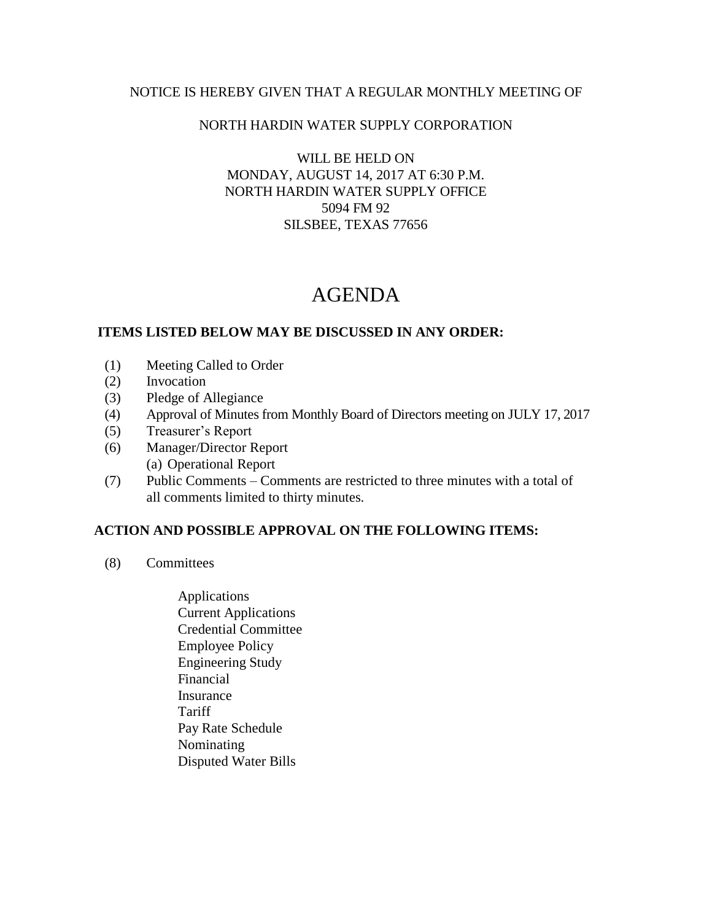### NOTICE IS HEREBY GIVEN THAT A REGULAR MONTHLY MEETING OF

## NORTH HARDIN WATER SUPPLY CORPORATION

WILL BE HELD ON MONDAY, AUGUST 14, 2017 AT 6:30 P.M. NORTH HARDIN WATER SUPPLY OFFICE 5094 FM 92 SILSBEE, TEXAS 77656

# AGENDA

## **ITEMS LISTED BELOW MAY BE DISCUSSED IN ANY ORDER:**

- (1) Meeting Called to Order
- (2) Invocation
- (3) Pledge of Allegiance
- (4) Approval of Minutes from Monthly Board of Directors meeting on JULY 17, 2017
- (5) Treasurer's Report
- (6) Manager/Director Report (a) Operational Report
- (7) Public Comments Comments are restricted to three minutes with a total of all comments limited to thirty minutes.

### **ACTION AND POSSIBLE APPROVAL ON THE FOLLOWING ITEMS:**

- (8) Committees
	- Applications Current Applications Credential Committee Employee Policy Engineering Study Financial Insurance **Tariff**  Pay Rate Schedule Nominating Disputed Water Bills